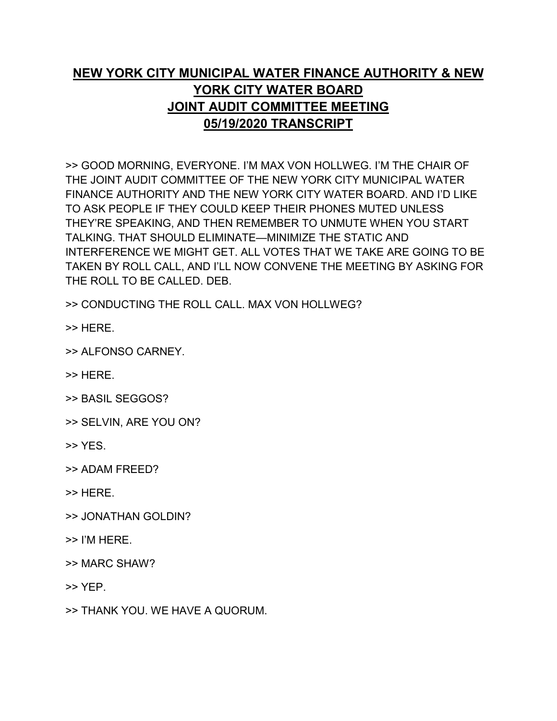## **NEW YORK CITY MUNICIPAL WATER FINANCE AUTHORITY & NEW YORK CITY WATER BOARD JOINT AUDIT COMMITTEE MEETING 05/19/2020 TRANSCRIPT**

>> GOOD MORNING, EVERYONE. I'M MAX VON HOLLWEG. I'M THE CHAIR OF THE JOINT AUDIT COMMITTEE OF THE NEW YORK CITY MUNICIPAL WATER FINANCE AUTHORITY AND THE NEW YORK CITY WATER BOARD. AND I'D LIKE TO ASK PEOPLE IF THEY COULD KEEP THEIR PHONES MUTED UNLESS THEY'RE SPEAKING, AND THEN REMEMBER TO UNMUTE WHEN YOU START TALKING. THAT SHOULD ELIMINATE—MINIMIZE THE STATIC AND INTERFERENCE WE MIGHT GET. ALL VOTES THAT WE TAKE ARE GOING TO BE TAKEN BY ROLL CALL, AND I'LL NOW CONVENE THE MEETING BY ASKING FOR THE ROLL TO BE CALLED. DEB.

>> CONDUCTING THE ROLL CALL. MAX VON HOLLWEG?

>> HERE.

>> ALFONSO CARNEY.

>> HERE.

>> BASIL SEGGOS?

>> SELVIN, ARE YOU ON?

>> YES.

>> ADAM FREED?

>> HERE.

- >> JONATHAN GOLDIN?
- >> I'M HERE.

>> MARC SHAW?

>> YEP.

>> THANK YOU. WE HAVE A QUORUM.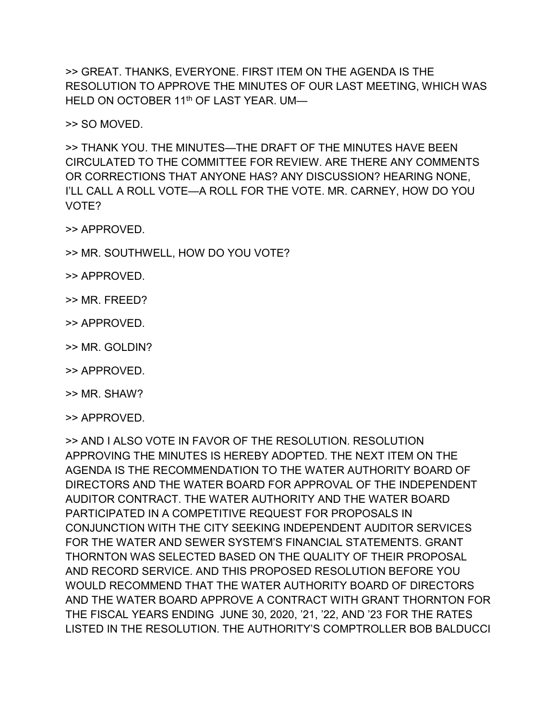>> GREAT. THANKS, EVERYONE. FIRST ITEM ON THE AGENDA IS THE RESOLUTION TO APPROVE THE MINUTES OF OUR LAST MEETING, WHICH WAS HELD ON OCTOBER 11<sup>th</sup> OF LAST YEAR. UM-

>> SO MOVED.

>> THANK YOU. THE MINUTES—THE DRAFT OF THE MINUTES HAVE BEEN CIRCULATED TO THE COMMITTEE FOR REVIEW. ARE THERE ANY COMMENTS OR CORRECTIONS THAT ANYONE HAS? ANY DISCUSSION? HEARING NONE, I'LL CALL A ROLL VOTE—A ROLL FOR THE VOTE. MR. CARNEY, HOW DO YOU VOTE?

>> APPROVED.

- >> MR. SOUTHWELL, HOW DO YOU VOTE?
- >> APPROVED.
- >> MR. FREED?
- >> APPROVED.
- >> MR. GOLDIN?
- >> APPROVED.
- >> MR. SHAW?
- >> APPROVED.

>> AND I ALSO VOTE IN FAVOR OF THE RESOLUTION. RESOLUTION APPROVING THE MINUTES IS HEREBY ADOPTED. THE NEXT ITEM ON THE AGENDA IS THE RECOMMENDATION TO THE WATER AUTHORITY BOARD OF DIRECTORS AND THE WATER BOARD FOR APPROVAL OF THE INDEPENDENT AUDITOR CONTRACT. THE WATER AUTHORITY AND THE WATER BOARD PARTICIPATED IN A COMPETITIVE REQUEST FOR PROPOSALS IN CONJUNCTION WITH THE CITY SEEKING INDEPENDENT AUDITOR SERVICES FOR THE WATER AND SEWER SYSTEM'S FINANCIAL STATEMENTS. GRANT THORNTON WAS SELECTED BASED ON THE QUALITY OF THEIR PROPOSAL AND RECORD SERVICE. AND THIS PROPOSED RESOLUTION BEFORE YOU WOULD RECOMMEND THAT THE WATER AUTHORITY BOARD OF DIRECTORS AND THE WATER BOARD APPROVE A CONTRACT WITH GRANT THORNTON FOR THE FISCAL YEARS ENDING JUNE 30, 2020, '21, '22, AND '23 FOR THE RATES LISTED IN THE RESOLUTION. THE AUTHORITY'S COMPTROLLER BOB BALDUCCI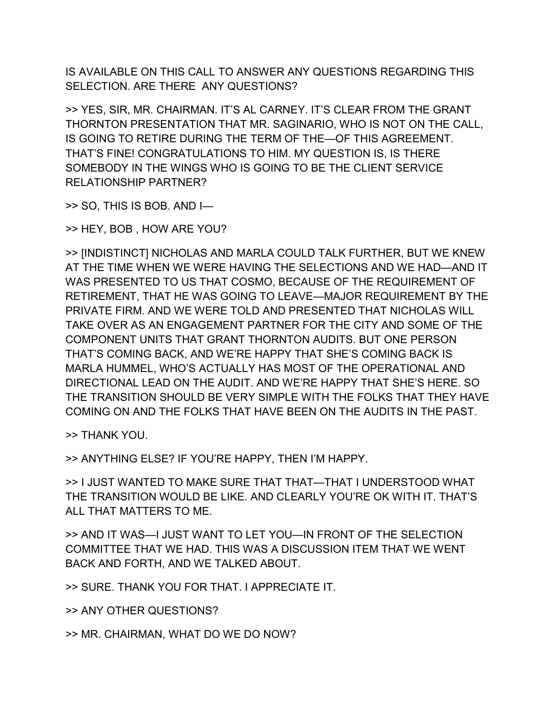IS AVAILABLE ON THIS CALL TO ANSWER ANY QUESTIONS REGARDING THIS SELECTION. ARE THERE ANY QUESTIONS?

>> YES, SIR, MR. CHAIRMAN. IT'S AL CARNEY. IT'S CLEAR FROM THE GRANT THORNTON PRESENTATION THAT MR. SAGINARIO, WHO IS NOT ON THE CALL, IS GOING TO RETIRE DURING THE TERM OF THE—OF THIS AGREEMENT. THAT'S FINE! CONGRATULATIONS TO HIM. MY QUESTION IS, IS THERE SOMEBODY IN THE WINGS WHO IS GOING TO BE THE CLIENT SERVICE RELATIONSHIP PARTNER?

>> SO, THIS IS BOB. AND I—

>> HEY, BOB , HOW ARE YOU?

>> [INDISTINCT] NICHOLAS AND MARLA COULD TALK FURTHER, BUT WE KNEW AT THE TIME WHEN WE WERE HAVING THE SELECTIONS AND WE HAD—AND IT WAS PRESENTED TO US THAT COSMO, BECAUSE OF THE REQUIREMENT OF RETIREMENT, THAT HE WAS GOING TO LEAVE—MAJOR REQUIREMENT BY THE PRIVATE FIRM. AND WE WERE TOLD AND PRESENTED THAT NICHOLAS WILL TAKE OVER AS AN ENGAGEMENT PARTNER FOR THE CITY AND SOME OF THE COMPONENT UNITS THAT GRANT THORNTON AUDITS. BUT ONE PERSON THAT'S COMING BACK, AND WE'RE HAPPY THAT SHE'S COMING BACK IS MARLA HUMMEL, WHO'S ACTUALLY HAS MOST OF THE OPERATIONAL AND DIRECTIONAL LEAD ON THE AUDIT. AND WE'RE HAPPY THAT SHE'S HERE. SO THE TRANSITION SHOULD BE VERY SIMPLE WITH THE FOLKS THAT THEY HAVE COMING ON AND THE FOLKS THAT HAVE BEEN ON THE AUDITS IN THE PAST.

>> THANK YOU.

>> ANYTHING ELSE? IF YOU'RE HAPPY, THEN I'M HAPPY.

>> I JUST WANTED TO MAKE SURE THAT THAT—THAT I UNDERSTOOD WHAT THE TRANSITION WOULD BE LIKE. AND CLEARLY YOU'RE OK WITH IT. THAT'S ALL THAT MATTERS TO ME.

>> AND IT WAS—I JUST WANT TO LET YOU—IN FRONT OF THE SELECTION COMMITTEE THAT WE HAD. THIS WAS A DISCUSSION ITEM THAT WE WENT BACK AND FORTH, AND WE TALKED ABOUT.

>> SURE. THANK YOU FOR THAT. I APPRECIATE IT.

>> ANY OTHER QUESTIONS?

>> MR. CHAIRMAN, WHAT DO WE DO NOW?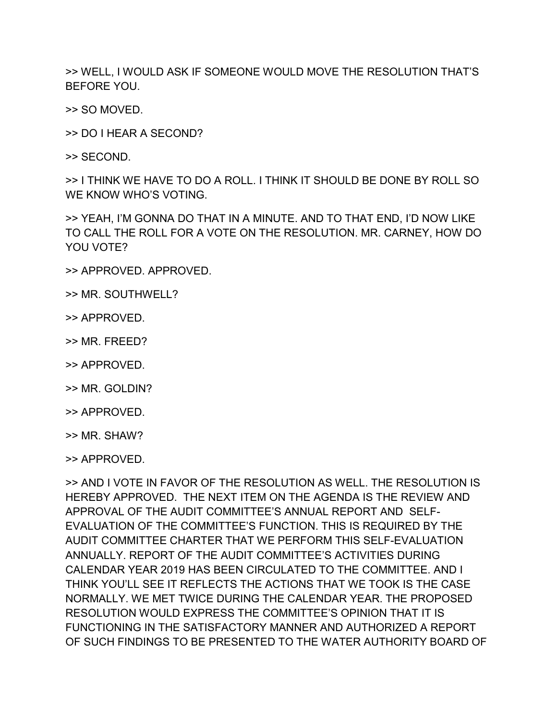>> WELL, I WOULD ASK IF SOMEONE WOULD MOVE THE RESOLUTION THAT'S BEFORE YOU.

>> SO MOVED.

>> DO I HEAR A SECOND?

>> SECOND.

>> I THINK WE HAVE TO DO A ROLL. I THINK IT SHOULD BE DONE BY ROLL SO WE KNOW WHO'S VOTING.

>> YEAH, I'M GONNA DO THAT IN A MINUTE. AND TO THAT END, I'D NOW LIKE TO CALL THE ROLL FOR A VOTE ON THE RESOLUTION. MR. CARNEY, HOW DO YOU VOTE?

- >> APPROVED. APPROVED.
- >> MR. SOUTHWELL?
- >> APPROVED.
- >> MR. FREED?
- >> APPROVED.
- >> MR. GOLDIN?
- >> APPROVED.
- >> MR. SHAW?
- >> APPROVED.

>> AND I VOTE IN FAVOR OF THE RESOLUTION AS WELL. THE RESOLUTION IS HEREBY APPROVED. THE NEXT ITEM ON THE AGENDA IS THE REVIEW AND APPROVAL OF THE AUDIT COMMITTEE'S ANNUAL REPORT AND SELF-EVALUATION OF THE COMMITTEE'S FUNCTION. THIS IS REQUIRED BY THE AUDIT COMMITTEE CHARTER THAT WE PERFORM THIS SELF-EVALUATION ANNUALLY. REPORT OF THE AUDIT COMMITTEE'S ACTIVITIES DURING CALENDAR YEAR 2019 HAS BEEN CIRCULATED TO THE COMMITTEE. AND I THINK YOU'LL SEE IT REFLECTS THE ACTIONS THAT WE TOOK IS THE CASE NORMALLY. WE MET TWICE DURING THE CALENDAR YEAR. THE PROPOSED RESOLUTION WOULD EXPRESS THE COMMITTEE'S OPINION THAT IT IS FUNCTIONING IN THE SATISFACTORY MANNER AND AUTHORIZED A REPORT OF SUCH FINDINGS TO BE PRESENTED TO THE WATER AUTHORITY BOARD OF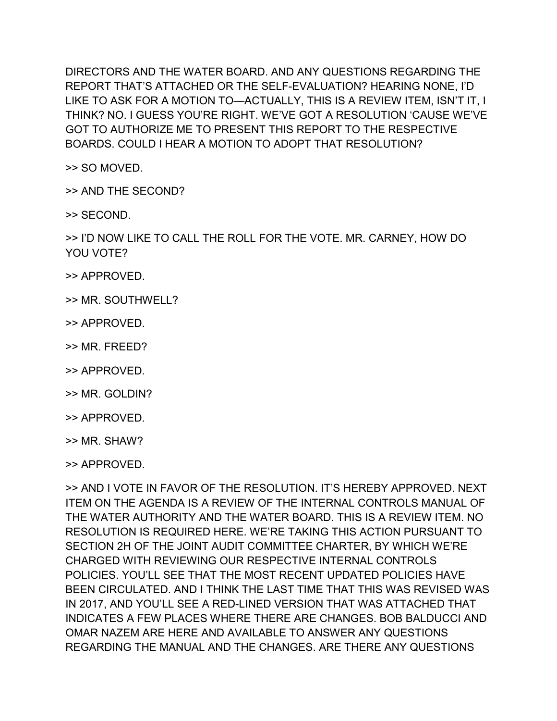DIRECTORS AND THE WATER BOARD. AND ANY QUESTIONS REGARDING THE REPORT THAT'S ATTACHED OR THE SELF-EVALUATION? HEARING NONE, I'D LIKE TO ASK FOR A MOTION TO—ACTUALLY, THIS IS A REVIEW ITEM, ISN'T IT, I THINK? NO. I GUESS YOU'RE RIGHT. WE'VE GOT A RESOLUTION 'CAUSE WE'VE GOT TO AUTHORIZE ME TO PRESENT THIS REPORT TO THE RESPECTIVE BOARDS. COULD I HEAR A MOTION TO ADOPT THAT RESOLUTION?

>> SO MOVED.

>> AND THE SECOND?

>> SECOND.

>> I'D NOW LIKE TO CALL THE ROLL FOR THE VOTE. MR. CARNEY, HOW DO YOU VOTE?

- >> APPROVED.
- >> MR. SOUTHWELL?
- >> APPROVED.
- >> MR. FREED?
- >> APPROVED.
- >> MR. GOLDIN?
- >> APPROVED.
- >> MR. SHAW?
- >> APPROVED.

>> AND I VOTE IN FAVOR OF THE RESOLUTION. IT'S HEREBY APPROVED. NEXT ITEM ON THE AGENDA IS A REVIEW OF THE INTERNAL CONTROLS MANUAL OF THE WATER AUTHORITY AND THE WATER BOARD. THIS IS A REVIEW ITEM. NO RESOLUTION IS REQUIRED HERE. WE'RE TAKING THIS ACTION PURSUANT TO SECTION 2H OF THE JOINT AUDIT COMMITTEE CHARTER, BY WHICH WE'RE CHARGED WITH REVIEWING OUR RESPECTIVE INTERNAL CONTROLS POLICIES. YOU'LL SEE THAT THE MOST RECENT UPDATED POLICIES HAVE BEEN CIRCULATED. AND I THINK THE LAST TIME THAT THIS WAS REVISED WAS IN 2017, AND YOU'LL SEE A RED-LINED VERSION THAT WAS ATTACHED THAT INDICATES A FEW PLACES WHERE THERE ARE CHANGES. BOB BALDUCCI AND OMAR NAZEM ARE HERE AND AVAILABLE TO ANSWER ANY QUESTIONS REGARDING THE MANUAL AND THE CHANGES. ARE THERE ANY QUESTIONS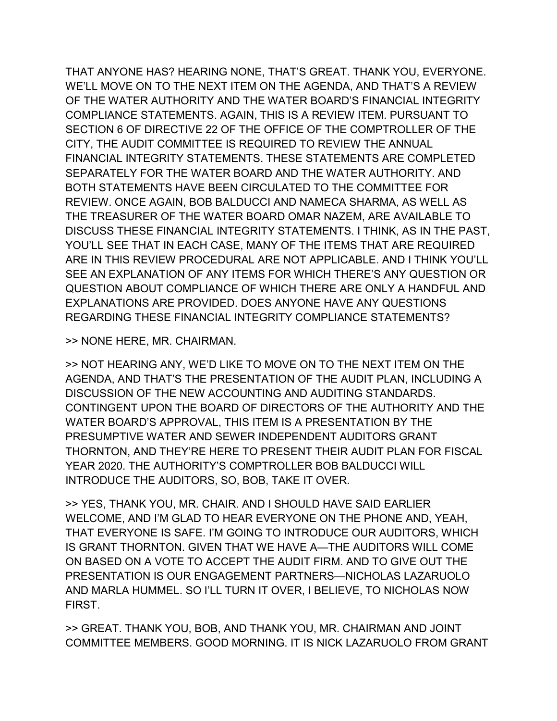THAT ANYONE HAS? HEARING NONE, THAT'S GREAT. THANK YOU, EVERYONE. WE'LL MOVE ON TO THE NEXT ITEM ON THE AGENDA, AND THAT'S A REVIEW OF THE WATER AUTHORITY AND THE WATER BOARD'S FINANCIAL INTEGRITY COMPLIANCE STATEMENTS. AGAIN, THIS IS A REVIEW ITEM. PURSUANT TO SECTION 6 OF DIRECTIVE 22 OF THE OFFICE OF THE COMPTROLLER OF THE CITY, THE AUDIT COMMITTEE IS REQUIRED TO REVIEW THE ANNUAL FINANCIAL INTEGRITY STATEMENTS. THESE STATEMENTS ARE COMPLETED SEPARATELY FOR THE WATER BOARD AND THE WATER AUTHORITY. AND BOTH STATEMENTS HAVE BEEN CIRCULATED TO THE COMMITTEE FOR REVIEW. ONCE AGAIN, BOB BALDUCCI AND NAMECA SHARMA, AS WELL AS THE TREASURER OF THE WATER BOARD OMAR NAZEM, ARE AVAILABLE TO DISCUSS THESE FINANCIAL INTEGRITY STATEMENTS. I THINK, AS IN THE PAST, YOU'LL SEE THAT IN EACH CASE, MANY OF THE ITEMS THAT ARE REQUIRED ARE IN THIS REVIEW PROCEDURAL ARE NOT APPLICABLE. AND I THINK YOU'LL SEE AN EXPLANATION OF ANY ITEMS FOR WHICH THERE'S ANY QUESTION OR QUESTION ABOUT COMPLIANCE OF WHICH THERE ARE ONLY A HANDFUL AND EXPLANATIONS ARE PROVIDED. DOES ANYONE HAVE ANY QUESTIONS REGARDING THESE FINANCIAL INTEGRITY COMPLIANCE STATEMENTS?

>> NONE HERE, MR. CHAIRMAN.

>> NOT HEARING ANY, WE'D LIKE TO MOVE ON TO THE NEXT ITEM ON THE AGENDA, AND THAT'S THE PRESENTATION OF THE AUDIT PLAN, INCLUDING A DISCUSSION OF THE NEW ACCOUNTING AND AUDITING STANDARDS. CONTINGENT UPON THE BOARD OF DIRECTORS OF THE AUTHORITY AND THE WATER BOARD'S APPROVAL, THIS ITEM IS A PRESENTATION BY THE PRESUMPTIVE WATER AND SEWER INDEPENDENT AUDITORS GRANT THORNTON, AND THEY'RE HERE TO PRESENT THEIR AUDIT PLAN FOR FISCAL YEAR 2020. THE AUTHORITY'S COMPTROLLER BOB BALDUCCI WILL INTRODUCE THE AUDITORS, SO, BOB, TAKE IT OVER.

>> YES, THANK YOU, MR. CHAIR. AND I SHOULD HAVE SAID EARLIER WELCOME, AND I'M GLAD TO HEAR EVERYONE ON THE PHONE AND, YEAH, THAT EVERYONE IS SAFE. I'M GOING TO INTRODUCE OUR AUDITORS, WHICH IS GRANT THORNTON. GIVEN THAT WE HAVE A—THE AUDITORS WILL COME ON BASED ON A VOTE TO ACCEPT THE AUDIT FIRM. AND TO GIVE OUT THE PRESENTATION IS OUR ENGAGEMENT PARTNERS—NICHOLAS LAZARUOLO AND MARLA HUMMEL. SO I'LL TURN IT OVER, I BELIEVE, TO NICHOLAS NOW FIRST.

>> GREAT. THANK YOU, BOB, AND THANK YOU, MR. CHAIRMAN AND JOINT COMMITTEE MEMBERS. GOOD MORNING. IT IS NICK LAZARUOLO FROM GRANT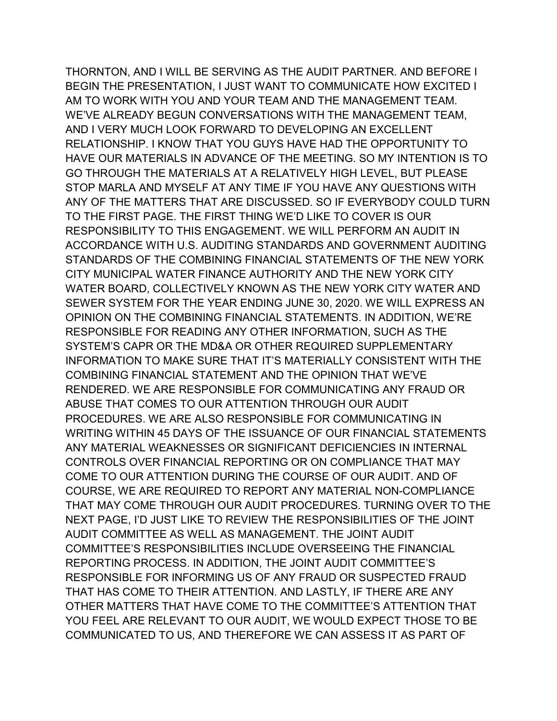THORNTON, AND I WILL BE SERVING AS THE AUDIT PARTNER. AND BEFORE I BEGIN THE PRESENTATION, I JUST WANT TO COMMUNICATE HOW EXCITED I AM TO WORK WITH YOU AND YOUR TEAM AND THE MANAGEMENT TEAM. WE'VE ALREADY BEGUN CONVERSATIONS WITH THE MANAGEMENT TEAM, AND I VERY MUCH LOOK FORWARD TO DEVELOPING AN EXCELLENT RELATIONSHIP. I KNOW THAT YOU GUYS HAVE HAD THE OPPORTUNITY TO HAVE OUR MATERIALS IN ADVANCE OF THE MEETING. SO MY INTENTION IS TO GO THROUGH THE MATERIALS AT A RELATIVELY HIGH LEVEL, BUT PLEASE STOP MARLA AND MYSELF AT ANY TIME IF YOU HAVE ANY QUESTIONS WITH ANY OF THE MATTERS THAT ARE DISCUSSED. SO IF EVERYBODY COULD TURN TO THE FIRST PAGE. THE FIRST THING WE'D LIKE TO COVER IS OUR RESPONSIBILITY TO THIS ENGAGEMENT. WE WILL PERFORM AN AUDIT IN ACCORDANCE WITH U.S. AUDITING STANDARDS AND GOVERNMENT AUDITING STANDARDS OF THE COMBINING FINANCIAL STATEMENTS OF THE NEW YORK CITY MUNICIPAL WATER FINANCE AUTHORITY AND THE NEW YORK CITY WATER BOARD, COLLECTIVELY KNOWN AS THE NEW YORK CITY WATER AND SEWER SYSTEM FOR THE YEAR ENDING JUNE 30, 2020. WE WILL EXPRESS AN OPINION ON THE COMBINING FINANCIAL STATEMENTS. IN ADDITION, WE'RE RESPONSIBLE FOR READING ANY OTHER INFORMATION, SUCH AS THE SYSTEM'S CAPR OR THE MD&A OR OTHER REQUIRED SUPPLEMENTARY INFORMATION TO MAKE SURE THAT IT'S MATERIALLY CONSISTENT WITH THE COMBINING FINANCIAL STATEMENT AND THE OPINION THAT WE'VE RENDERED. WE ARE RESPONSIBLE FOR COMMUNICATING ANY FRAUD OR ABUSE THAT COMES TO OUR ATTENTION THROUGH OUR AUDIT PROCEDURES. WE ARE ALSO RESPONSIBLE FOR COMMUNICATING IN WRITING WITHIN 45 DAYS OF THE ISSUANCE OF OUR FINANCIAL STATEMENTS ANY MATERIAL WEAKNESSES OR SIGNIFICANT DEFICIENCIES IN INTERNAL CONTROLS OVER FINANCIAL REPORTING OR ON COMPLIANCE THAT MAY COME TO OUR ATTENTION DURING THE COURSE OF OUR AUDIT. AND OF COURSE, WE ARE REQUIRED TO REPORT ANY MATERIAL NON-COMPLIANCE THAT MAY COME THROUGH OUR AUDIT PROCEDURES. TURNING OVER TO THE NEXT PAGE, I'D JUST LIKE TO REVIEW THE RESPONSIBILITIES OF THE JOINT AUDIT COMMITTEE AS WELL AS MANAGEMENT. THE JOINT AUDIT COMMITTEE'S RESPONSIBILITIES INCLUDE OVERSEEING THE FINANCIAL REPORTING PROCESS. IN ADDITION, THE JOINT AUDIT COMMITTEE'S RESPONSIBLE FOR INFORMING US OF ANY FRAUD OR SUSPECTED FRAUD THAT HAS COME TO THEIR ATTENTION. AND LASTLY, IF THERE ARE ANY OTHER MATTERS THAT HAVE COME TO THE COMMITTEE'S ATTENTION THAT YOU FEEL ARE RELEVANT TO OUR AUDIT, WE WOULD EXPECT THOSE TO BE COMMUNICATED TO US, AND THEREFORE WE CAN ASSESS IT AS PART OF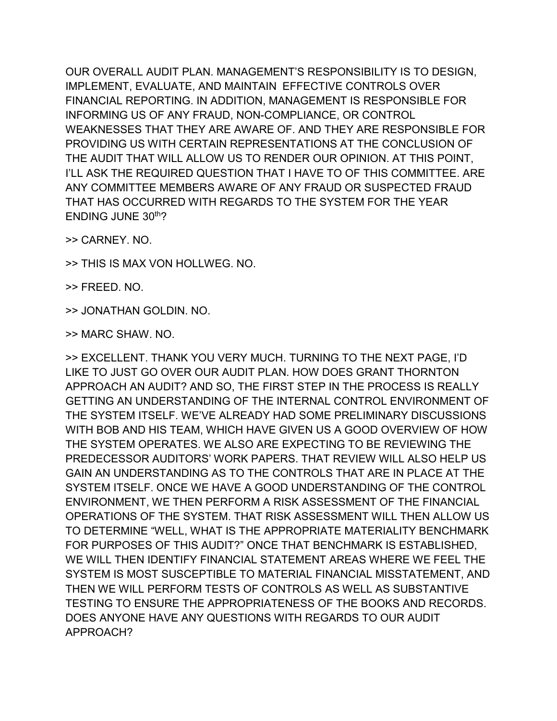OUR OVERALL AUDIT PLAN. MANAGEMENT'S RESPONSIBILITY IS TO DESIGN, IMPLEMENT, EVALUATE, AND MAINTAIN EFFECTIVE CONTROLS OVER FINANCIAL REPORTING. IN ADDITION, MANAGEMENT IS RESPONSIBLE FOR INFORMING US OF ANY FRAUD, NON-COMPLIANCE, OR CONTROL WEAKNESSES THAT THEY ARE AWARE OF. AND THEY ARE RESPONSIBLE FOR PROVIDING US WITH CERTAIN REPRESENTATIONS AT THE CONCLUSION OF THE AUDIT THAT WILL ALLOW US TO RENDER OUR OPINION. AT THIS POINT, I'LL ASK THE REQUIRED QUESTION THAT I HAVE TO OF THIS COMMITTEE. ARE ANY COMMITTEE MEMBERS AWARE OF ANY FRAUD OR SUSPECTED FRAUD THAT HAS OCCURRED WITH REGARDS TO THE SYSTEM FOR THE YEAR ENDING JUNE 30th?

>> CARNEY. NO.

>> THIS IS MAX VON HOLLWEG. NO.

>> FREED. NO.

>> JONATHAN GOLDIN. NO.

>> MARC SHAW. NO.

>> EXCELLENT. THANK YOU VERY MUCH. TURNING TO THE NEXT PAGE, I'D LIKE TO JUST GO OVER OUR AUDIT PLAN. HOW DOES GRANT THORNTON APPROACH AN AUDIT? AND SO, THE FIRST STEP IN THE PROCESS IS REALLY GETTING AN UNDERSTANDING OF THE INTERNAL CONTROL ENVIRONMENT OF THE SYSTEM ITSELF. WE'VE ALREADY HAD SOME PRELIMINARY DISCUSSIONS WITH BOB AND HIS TEAM, WHICH HAVE GIVEN US A GOOD OVERVIEW OF HOW THE SYSTEM OPERATES. WE ALSO ARE EXPECTING TO BE REVIEWING THE PREDECESSOR AUDITORS' WORK PAPERS. THAT REVIEW WILL ALSO HELP US GAIN AN UNDERSTANDING AS TO THE CONTROLS THAT ARE IN PLACE AT THE SYSTEM ITSELF. ONCE WE HAVE A GOOD UNDERSTANDING OF THE CONTROL ENVIRONMENT, WE THEN PERFORM A RISK ASSESSMENT OF THE FINANCIAL OPERATIONS OF THE SYSTEM. THAT RISK ASSESSMENT WILL THEN ALLOW US TO DETERMINE "WELL, WHAT IS THE APPROPRIATE MATERIALITY BENCHMARK FOR PURPOSES OF THIS AUDIT?" ONCE THAT BENCHMARK IS ESTABLISHED, WE WILL THEN IDENTIFY FINANCIAL STATEMENT AREAS WHERE WE FEEL THE SYSTEM IS MOST SUSCEPTIBLE TO MATERIAL FINANCIAL MISSTATEMENT, AND THEN WE WILL PERFORM TESTS OF CONTROLS AS WELL AS SUBSTANTIVE TESTING TO ENSURE THE APPROPRIATENESS OF THE BOOKS AND RECORDS. DOES ANYONE HAVE ANY QUESTIONS WITH REGARDS TO OUR AUDIT APPROACH?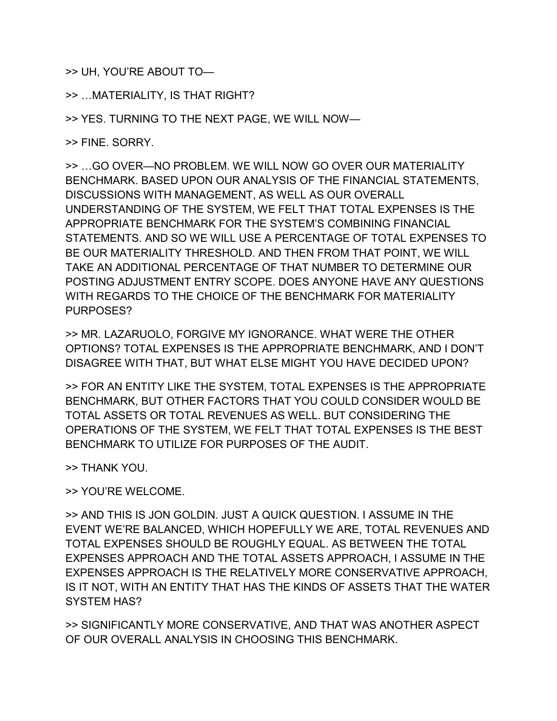>> UH, YOU'RE ABOUT TO—

>> …MATERIALITY, IS THAT RIGHT?

>> YES. TURNING TO THE NEXT PAGE, WE WILL NOW—

>> FINE. SORRY.

>> …GO OVER—NO PROBLEM. WE WILL NOW GO OVER OUR MATERIALITY BENCHMARK. BASED UPON OUR ANALYSIS OF THE FINANCIAL STATEMENTS, DISCUSSIONS WITH MANAGEMENT, AS WELL AS OUR OVERALL UNDERSTANDING OF THE SYSTEM, WE FELT THAT TOTAL EXPENSES IS THE APPROPRIATE BENCHMARK FOR THE SYSTEM'S COMBINING FINANCIAL STATEMENTS. AND SO WE WILL USE A PERCENTAGE OF TOTAL EXPENSES TO BE OUR MATERIALITY THRESHOLD. AND THEN FROM THAT POINT, WE WILL TAKE AN ADDITIONAL PERCENTAGE OF THAT NUMBER TO DETERMINE OUR POSTING ADJUSTMENT ENTRY SCOPE. DOES ANYONE HAVE ANY QUESTIONS WITH REGARDS TO THE CHOICE OF THE BENCHMARK FOR MATERIALITY PURPOSES?

>> MR. LAZARUOLO, FORGIVE MY IGNORANCE. WHAT WERE THE OTHER OPTIONS? TOTAL EXPENSES IS THE APPROPRIATE BENCHMARK, AND I DON'T DISAGREE WITH THAT, BUT WHAT ELSE MIGHT YOU HAVE DECIDED UPON?

>> FOR AN ENTITY LIKE THE SYSTEM, TOTAL EXPENSES IS THE APPROPRIATE BENCHMARK, BUT OTHER FACTORS THAT YOU COULD CONSIDER WOULD BE TOTAL ASSETS OR TOTAL REVENUES AS WELL. BUT CONSIDERING THE OPERATIONS OF THE SYSTEM, WE FELT THAT TOTAL EXPENSES IS THE BEST BENCHMARK TO UTILIZE FOR PURPOSES OF THE AUDIT.

>> THANK YOU.

>> YOU'RE WELCOME.

>> AND THIS IS JON GOLDIN. JUST A QUICK QUESTION. I ASSUME IN THE EVENT WE'RE BALANCED, WHICH HOPEFULLY WE ARE, TOTAL REVENUES AND TOTAL EXPENSES SHOULD BE ROUGHLY EQUAL. AS BETWEEN THE TOTAL EXPENSES APPROACH AND THE TOTAL ASSETS APPROACH, I ASSUME IN THE EXPENSES APPROACH IS THE RELATIVELY MORE CONSERVATIVE APPROACH, IS IT NOT, WITH AN ENTITY THAT HAS THE KINDS OF ASSETS THAT THE WATER SYSTEM HAS?

>> SIGNIFICANTLY MORE CONSERVATIVE, AND THAT WAS ANOTHER ASPECT OF OUR OVERALL ANALYSIS IN CHOOSING THIS BENCHMARK.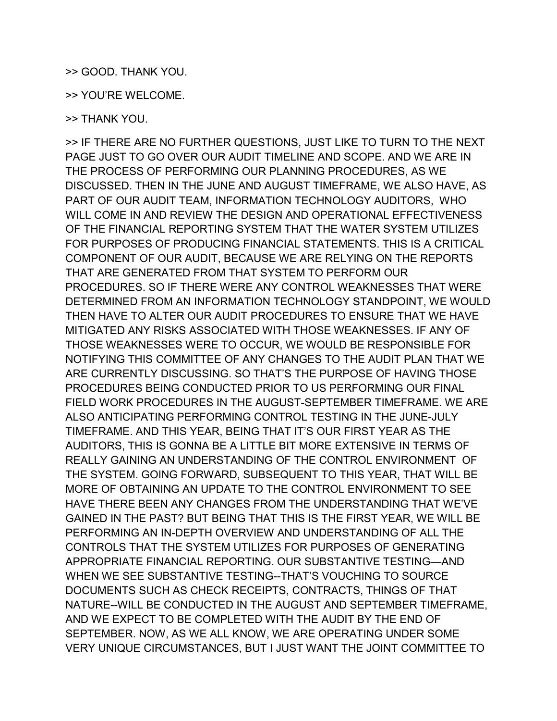## >> GOOD. THANK YOU.

>> YOU'RE WELCOME.

>> THANK YOU.

>> IF THERE ARE NO FURTHER QUESTIONS, JUST LIKE TO TURN TO THE NEXT PAGE JUST TO GO OVER OUR AUDIT TIMELINE AND SCOPE. AND WE ARE IN THE PROCESS OF PERFORMING OUR PLANNING PROCEDURES, AS WE DISCUSSED. THEN IN THE JUNE AND AUGUST TIMEFRAME, WE ALSO HAVE, AS PART OF OUR AUDIT TEAM, INFORMATION TECHNOLOGY AUDITORS, WHO WILL COME IN AND REVIEW THE DESIGN AND OPERATIONAL EFFECTIVENESS OF THE FINANCIAL REPORTING SYSTEM THAT THE WATER SYSTEM UTILIZES FOR PURPOSES OF PRODUCING FINANCIAL STATEMENTS. THIS IS A CRITICAL COMPONENT OF OUR AUDIT, BECAUSE WE ARE RELYING ON THE REPORTS THAT ARE GENERATED FROM THAT SYSTEM TO PERFORM OUR PROCEDURES. SO IF THERE WERE ANY CONTROL WEAKNESSES THAT WERE DETERMINED FROM AN INFORMATION TECHNOLOGY STANDPOINT, WE WOULD THEN HAVE TO ALTER OUR AUDIT PROCEDURES TO ENSURE THAT WE HAVE MITIGATED ANY RISKS ASSOCIATED WITH THOSE WEAKNESSES. IF ANY OF THOSE WEAKNESSES WERE TO OCCUR, WE WOULD BE RESPONSIBLE FOR NOTIFYING THIS COMMITTEE OF ANY CHANGES TO THE AUDIT PLAN THAT WE ARE CURRENTLY DISCUSSING. SO THAT'S THE PURPOSE OF HAVING THOSE PROCEDURES BEING CONDUCTED PRIOR TO US PERFORMING OUR FINAL FIELD WORK PROCEDURES IN THE AUGUST-SEPTEMBER TIMEFRAME. WE ARE ALSO ANTICIPATING PERFORMING CONTROL TESTING IN THE JUNE-JULY TIMEFRAME. AND THIS YEAR, BEING THAT IT'S OUR FIRST YEAR AS THE AUDITORS, THIS IS GONNA BE A LITTLE BIT MORE EXTENSIVE IN TERMS OF REALLY GAINING AN UNDERSTANDING OF THE CONTROL ENVIRONMENT OF THE SYSTEM. GOING FORWARD, SUBSEQUENT TO THIS YEAR, THAT WILL BE MORE OF OBTAINING AN UPDATE TO THE CONTROL ENVIRONMENT TO SEE HAVE THERE BEEN ANY CHANGES FROM THE UNDERSTANDING THAT WE'VE GAINED IN THE PAST? BUT BEING THAT THIS IS THE FIRST YEAR, WE WILL BE PERFORMING AN IN-DEPTH OVERVIEW AND UNDERSTANDING OF ALL THE CONTROLS THAT THE SYSTEM UTILIZES FOR PURPOSES OF GENERATING APPROPRIATE FINANCIAL REPORTING. OUR SUBSTANTIVE TESTING—AND WHEN WE SEE SUBSTANTIVE TESTING--THAT'S VOUCHING TO SOURCE DOCUMENTS SUCH AS CHECK RECEIPTS, CONTRACTS, THINGS OF THAT NATURE--WILL BE CONDUCTED IN THE AUGUST AND SEPTEMBER TIMEFRAME, AND WE EXPECT TO BE COMPLETED WITH THE AUDIT BY THE END OF SEPTEMBER. NOW, AS WE ALL KNOW, WE ARE OPERATING UNDER SOME VERY UNIQUE CIRCUMSTANCES, BUT I JUST WANT THE JOINT COMMITTEE TO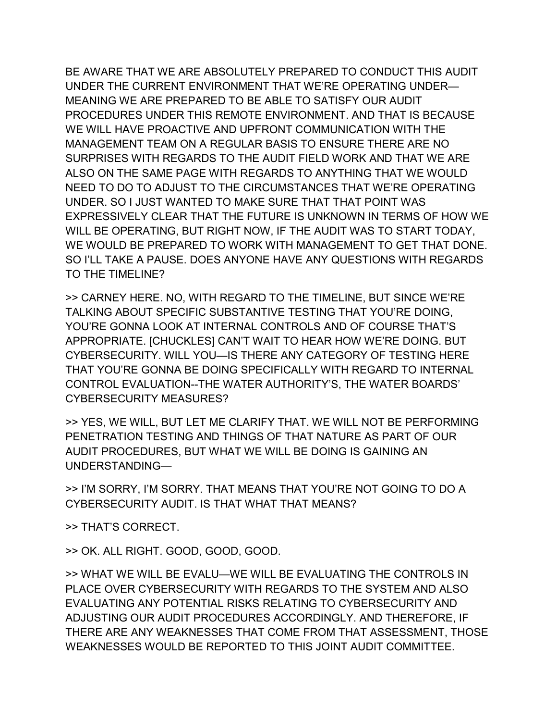BE AWARE THAT WE ARE ABSOLUTELY PREPARED TO CONDUCT THIS AUDIT UNDER THE CURRENT ENVIRONMENT THAT WE'RE OPERATING UNDER— MEANING WE ARE PREPARED TO BE ABLE TO SATISFY OUR AUDIT PROCEDURES UNDER THIS REMOTE ENVIRONMENT. AND THAT IS BECAUSE WE WILL HAVE PROACTIVE AND UPFRONT COMMUNICATION WITH THE MANAGEMENT TEAM ON A REGULAR BASIS TO ENSURE THERE ARE NO SURPRISES WITH REGARDS TO THE AUDIT FIELD WORK AND THAT WE ARE ALSO ON THE SAME PAGE WITH REGARDS TO ANYTHING THAT WE WOULD NEED TO DO TO ADJUST TO THE CIRCUMSTANCES THAT WE'RE OPERATING UNDER. SO I JUST WANTED TO MAKE SURE THAT THAT POINT WAS EXPRESSIVELY CLEAR THAT THE FUTURE IS UNKNOWN IN TERMS OF HOW WE WILL BE OPERATING, BUT RIGHT NOW, IF THE AUDIT WAS TO START TODAY, WE WOULD BE PREPARED TO WORK WITH MANAGEMENT TO GET THAT DONE. SO I'LL TAKE A PAUSE. DOES ANYONE HAVE ANY QUESTIONS WITH REGARDS TO THE TIMELINE?

>> CARNEY HERE. NO, WITH REGARD TO THE TIMELINE, BUT SINCE WE'RE TALKING ABOUT SPECIFIC SUBSTANTIVE TESTING THAT YOU'RE DOING, YOU'RE GONNA LOOK AT INTERNAL CONTROLS AND OF COURSE THAT'S APPROPRIATE. [CHUCKLES] CAN'T WAIT TO HEAR HOW WE'RE DOING. BUT CYBERSECURITY. WILL YOU—IS THERE ANY CATEGORY OF TESTING HERE THAT YOU'RE GONNA BE DOING SPECIFICALLY WITH REGARD TO INTERNAL CONTROL EVALUATION--THE WATER AUTHORITY'S, THE WATER BOARDS' CYBERSECURITY MEASURES?

>> YES, WE WILL, BUT LET ME CLARIFY THAT. WE WILL NOT BE PERFORMING PENETRATION TESTING AND THINGS OF THAT NATURE AS PART OF OUR AUDIT PROCEDURES, BUT WHAT WE WILL BE DOING IS GAINING AN UNDERSTANDING—

>> I'M SORRY, I'M SORRY. THAT MEANS THAT YOU'RE NOT GOING TO DO A CYBERSECURITY AUDIT. IS THAT WHAT THAT MEANS?

>> THAT'S CORRECT.

>> OK. ALL RIGHT. GOOD, GOOD, GOOD.

>> WHAT WE WILL BE EVALU—WE WILL BE EVALUATING THE CONTROLS IN PLACE OVER CYBERSECURITY WITH REGARDS TO THE SYSTEM AND ALSO EVALUATING ANY POTENTIAL RISKS RELATING TO CYBERSECURITY AND ADJUSTING OUR AUDIT PROCEDURES ACCORDINGLY. AND THEREFORE, IF THERE ARE ANY WEAKNESSES THAT COME FROM THAT ASSESSMENT, THOSE WEAKNESSES WOULD BE REPORTED TO THIS JOINT AUDIT COMMITTEE.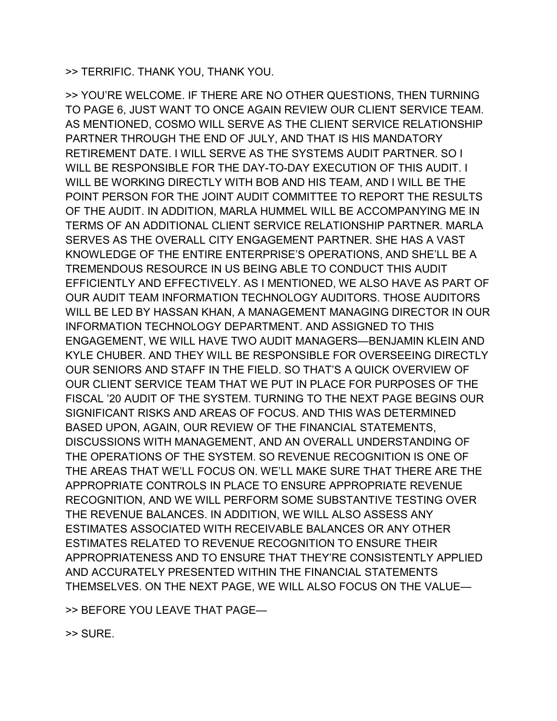>> TERRIFIC. THANK YOU, THANK YOU.

>> YOU'RE WELCOME. IF THERE ARE NO OTHER QUESTIONS, THEN TURNING TO PAGE 6, JUST WANT TO ONCE AGAIN REVIEW OUR CLIENT SERVICE TEAM. AS MENTIONED, COSMO WILL SERVE AS THE CLIENT SERVICE RELATIONSHIP PARTNER THROUGH THE END OF JULY, AND THAT IS HIS MANDATORY RETIREMENT DATE. I WILL SERVE AS THE SYSTEMS AUDIT PARTNER. SO I WILL BE RESPONSIBLE FOR THE DAY-TO-DAY EXECUTION OF THIS AUDIT. I WILL BE WORKING DIRECTLY WITH BOB AND HIS TEAM, AND I WILL BE THE POINT PERSON FOR THE JOINT AUDIT COMMITTEE TO REPORT THE RESULTS OF THE AUDIT. IN ADDITION, MARLA HUMMEL WILL BE ACCOMPANYING ME IN TERMS OF AN ADDITIONAL CLIENT SERVICE RELATIONSHIP PARTNER. MARLA SERVES AS THE OVERALL CITY ENGAGEMENT PARTNER. SHE HAS A VAST KNOWLEDGE OF THE ENTIRE ENTERPRISE'S OPERATIONS, AND SHE'LL BE A TREMENDOUS RESOURCE IN US BEING ABLE TO CONDUCT THIS AUDIT EFFICIENTLY AND EFFECTIVELY. AS I MENTIONED, WE ALSO HAVE AS PART OF OUR AUDIT TEAM INFORMATION TECHNOLOGY AUDITORS. THOSE AUDITORS WILL BE LED BY HASSAN KHAN, A MANAGEMENT MANAGING DIRECTOR IN OUR INFORMATION TECHNOLOGY DEPARTMENT. AND ASSIGNED TO THIS ENGAGEMENT, WE WILL HAVE TWO AUDIT MANAGERS—BENJAMIN KLEIN AND KYLE CHUBER. AND THEY WILL BE RESPONSIBLE FOR OVERSEEING DIRECTLY OUR SENIORS AND STAFF IN THE FIELD. SO THAT'S A QUICK OVERVIEW OF OUR CLIENT SERVICE TEAM THAT WE PUT IN PLACE FOR PURPOSES OF THE FISCAL '20 AUDIT OF THE SYSTEM. TURNING TO THE NEXT PAGE BEGINS OUR SIGNIFICANT RISKS AND AREAS OF FOCUS. AND THIS WAS DETERMINED BASED UPON, AGAIN, OUR REVIEW OF THE FINANCIAL STATEMENTS, DISCUSSIONS WITH MANAGEMENT, AND AN OVERALL UNDERSTANDING OF THE OPERATIONS OF THE SYSTEM. SO REVENUE RECOGNITION IS ONE OF THE AREAS THAT WE'LL FOCUS ON. WE'LL MAKE SURE THAT THERE ARE THE APPROPRIATE CONTROLS IN PLACE TO ENSURE APPROPRIATE REVENUE RECOGNITION, AND WE WILL PERFORM SOME SUBSTANTIVE TESTING OVER THE REVENUE BALANCES. IN ADDITION, WE WILL ALSO ASSESS ANY ESTIMATES ASSOCIATED WITH RECEIVABLE BALANCES OR ANY OTHER ESTIMATES RELATED TO REVENUE RECOGNITION TO ENSURE THEIR APPROPRIATENESS AND TO ENSURE THAT THEY'RE CONSISTENTLY APPLIED AND ACCURATELY PRESENTED WITHIN THE FINANCIAL STATEMENTS THEMSELVES. ON THE NEXT PAGE, WE WILL ALSO FOCUS ON THE VALUE—

>> BEFORE YOU LEAVE THAT PAGE—

>> SURE.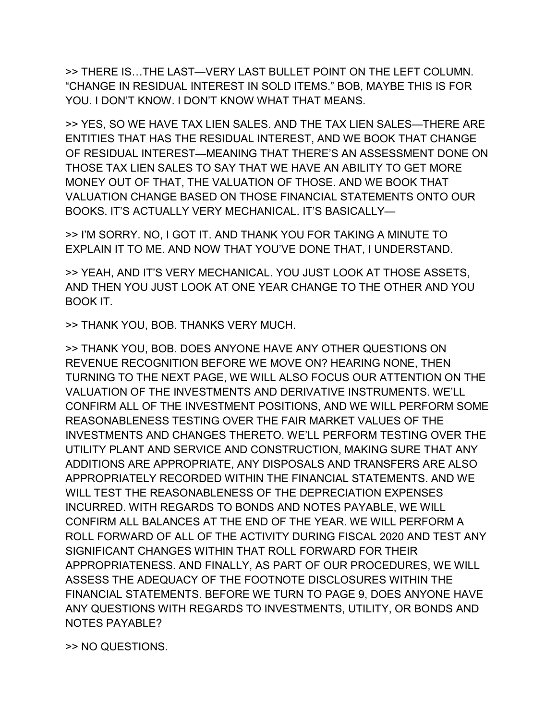>> THERE IS…THE LAST—VERY LAST BULLET POINT ON THE LEFT COLUMN. "CHANGE IN RESIDUAL INTEREST IN SOLD ITEMS." BOB, MAYBE THIS IS FOR YOU. I DON'T KNOW. I DON'T KNOW WHAT THAT MEANS.

>> YES, SO WE HAVE TAX LIEN SALES. AND THE TAX LIEN SALES—THERE ARE ENTITIES THAT HAS THE RESIDUAL INTEREST, AND WE BOOK THAT CHANGE OF RESIDUAL INTEREST—MEANING THAT THERE'S AN ASSESSMENT DONE ON THOSE TAX LIEN SALES TO SAY THAT WE HAVE AN ABILITY TO GET MORE MONEY OUT OF THAT, THE VALUATION OF THOSE. AND WE BOOK THAT VALUATION CHANGE BASED ON THOSE FINANCIAL STATEMENTS ONTO OUR BOOKS. IT'S ACTUALLY VERY MECHANICAL. IT'S BASICALLY—

>> I'M SORRY. NO, I GOT IT. AND THANK YOU FOR TAKING A MINUTE TO EXPLAIN IT TO ME. AND NOW THAT YOU'VE DONE THAT, I UNDERSTAND.

>> YEAH, AND IT'S VERY MECHANICAL. YOU JUST LOOK AT THOSE ASSETS, AND THEN YOU JUST LOOK AT ONE YEAR CHANGE TO THE OTHER AND YOU BOOK IT.

>> THANK YOU, BOB. THANKS VERY MUCH.

>> THANK YOU, BOB. DOES ANYONE HAVE ANY OTHER QUESTIONS ON REVENUE RECOGNITION BEFORE WE MOVE ON? HEARING NONE, THEN TURNING TO THE NEXT PAGE, WE WILL ALSO FOCUS OUR ATTENTION ON THE VALUATION OF THE INVESTMENTS AND DERIVATIVE INSTRUMENTS. WE'LL CONFIRM ALL OF THE INVESTMENT POSITIONS, AND WE WILL PERFORM SOME REASONABLENESS TESTING OVER THE FAIR MARKET VALUES OF THE INVESTMENTS AND CHANGES THERETO. WE'LL PERFORM TESTING OVER THE UTILITY PLANT AND SERVICE AND CONSTRUCTION, MAKING SURE THAT ANY ADDITIONS ARE APPROPRIATE, ANY DISPOSALS AND TRANSFERS ARE ALSO APPROPRIATELY RECORDED WITHIN THE FINANCIAL STATEMENTS. AND WE WILL TEST THE REASONABLENESS OF THE DEPRECIATION EXPENSES INCURRED. WITH REGARDS TO BONDS AND NOTES PAYABLE, WE WILL CONFIRM ALL BALANCES AT THE END OF THE YEAR. WE WILL PERFORM A ROLL FORWARD OF ALL OF THE ACTIVITY DURING FISCAL 2020 AND TEST ANY SIGNIFICANT CHANGES WITHIN THAT ROLL FORWARD FOR THEIR APPROPRIATENESS. AND FINALLY, AS PART OF OUR PROCEDURES, WE WILL ASSESS THE ADEQUACY OF THE FOOTNOTE DISCLOSURES WITHIN THE FINANCIAL STATEMENTS. BEFORE WE TURN TO PAGE 9, DOES ANYONE HAVE ANY QUESTIONS WITH REGARDS TO INVESTMENTS, UTILITY, OR BONDS AND NOTES PAYABLE?

>> NO QUESTIONS.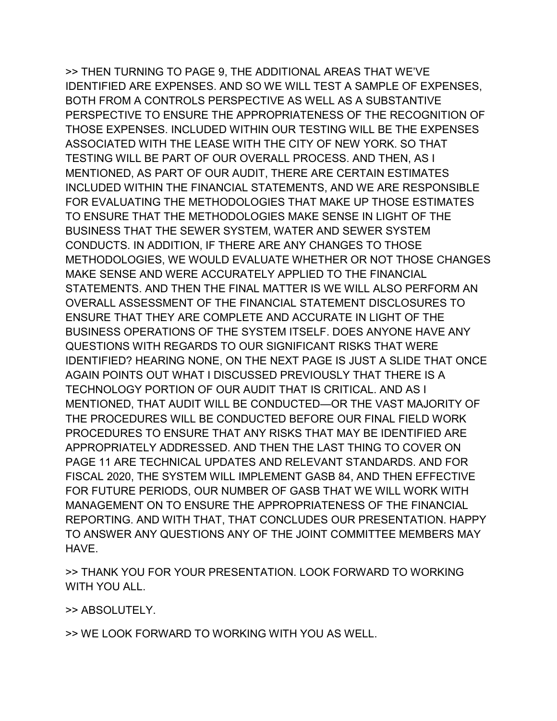>> THEN TURNING TO PAGE 9, THE ADDITIONAL AREAS THAT WE'VE IDENTIFIED ARE EXPENSES. AND SO WE WILL TEST A SAMPLE OF EXPENSES, BOTH FROM A CONTROLS PERSPECTIVE AS WELL AS A SUBSTANTIVE PERSPECTIVE TO ENSURE THE APPROPRIATENESS OF THE RECOGNITION OF THOSE EXPENSES. INCLUDED WITHIN OUR TESTING WILL BE THE EXPENSES ASSOCIATED WITH THE LEASE WITH THE CITY OF NEW YORK. SO THAT TESTING WILL BE PART OF OUR OVERALL PROCESS. AND THEN, AS I MENTIONED, AS PART OF OUR AUDIT, THERE ARE CERTAIN ESTIMATES INCLUDED WITHIN THE FINANCIAL STATEMENTS, AND WE ARE RESPONSIBLE FOR EVALUATING THE METHODOLOGIES THAT MAKE UP THOSE ESTIMATES TO ENSURE THAT THE METHODOLOGIES MAKE SENSE IN LIGHT OF THE BUSINESS THAT THE SEWER SYSTEM, WATER AND SEWER SYSTEM CONDUCTS. IN ADDITION, IF THERE ARE ANY CHANGES TO THOSE METHODOLOGIES, WE WOULD EVALUATE WHETHER OR NOT THOSE CHANGES MAKE SENSE AND WERE ACCURATELY APPLIED TO THE FINANCIAL STATEMENTS. AND THEN THE FINAL MATTER IS WE WILL ALSO PERFORM AN OVERALL ASSESSMENT OF THE FINANCIAL STATEMENT DISCLOSURES TO ENSURE THAT THEY ARE COMPLETE AND ACCURATE IN LIGHT OF THE BUSINESS OPERATIONS OF THE SYSTEM ITSELF. DOES ANYONE HAVE ANY QUESTIONS WITH REGARDS TO OUR SIGNIFICANT RISKS THAT WERE IDENTIFIED? HEARING NONE, ON THE NEXT PAGE IS JUST A SLIDE THAT ONCE AGAIN POINTS OUT WHAT I DISCUSSED PREVIOUSLY THAT THERE IS A TECHNOLOGY PORTION OF OUR AUDIT THAT IS CRITICAL. AND AS I MENTIONED, THAT AUDIT WILL BE CONDUCTED—OR THE VAST MAJORITY OF THE PROCEDURES WILL BE CONDUCTED BEFORE OUR FINAL FIELD WORK PROCEDURES TO ENSURE THAT ANY RISKS THAT MAY BE IDENTIFIED ARE APPROPRIATELY ADDRESSED. AND THEN THE LAST THING TO COVER ON PAGE 11 ARE TECHNICAL UPDATES AND RELEVANT STANDARDS. AND FOR FISCAL 2020, THE SYSTEM WILL IMPLEMENT GASB 84, AND THEN EFFECTIVE FOR FUTURE PERIODS, OUR NUMBER OF GASB THAT WE WILL WORK WITH MANAGEMENT ON TO ENSURE THE APPROPRIATENESS OF THE FINANCIAL REPORTING. AND WITH THAT, THAT CONCLUDES OUR PRESENTATION. HAPPY TO ANSWER ANY QUESTIONS ANY OF THE JOINT COMMITTEE MEMBERS MAY **HAVF** 

>> THANK YOU FOR YOUR PRESENTATION. LOOK FORWARD TO WORKING WITH YOU ALL.

>> ABSOLUTELY.

>> WE LOOK FORWARD TO WORKING WITH YOU AS WELL.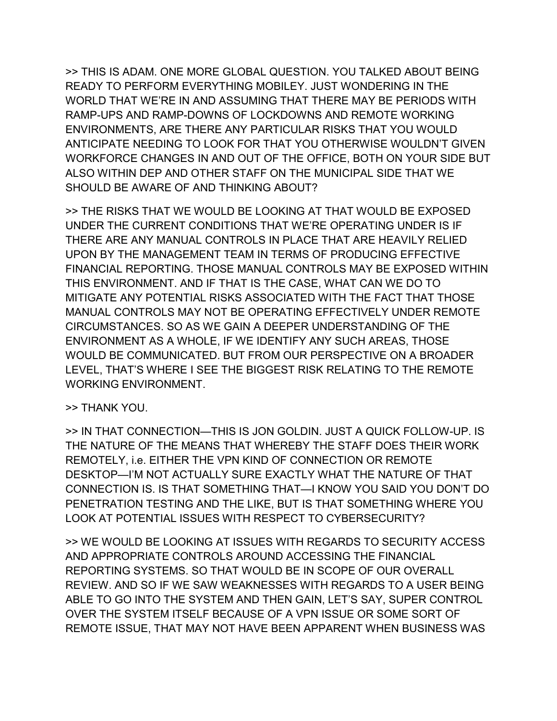>> THIS IS ADAM. ONE MORE GLOBAL QUESTION. YOU TALKED ABOUT BEING READY TO PERFORM EVERYTHING MOBILEY. JUST WONDERING IN THE WORLD THAT WE'RE IN AND ASSUMING THAT THERE MAY BE PERIODS WITH RAMP-UPS AND RAMP-DOWNS OF LOCKDOWNS AND REMOTE WORKING ENVIRONMENTS, ARE THERE ANY PARTICULAR RISKS THAT YOU WOULD ANTICIPATE NEEDING TO LOOK FOR THAT YOU OTHERWISE WOULDN'T GIVEN WORKFORCE CHANGES IN AND OUT OF THE OFFICE, BOTH ON YOUR SIDE BUT ALSO WITHIN DEP AND OTHER STAFF ON THE MUNICIPAL SIDE THAT WE SHOULD BE AWARE OF AND THINKING ABOUT?

>> THE RISKS THAT WE WOULD BE LOOKING AT THAT WOULD BE EXPOSED UNDER THE CURRENT CONDITIONS THAT WE'RE OPERATING UNDER IS IF THERE ARE ANY MANUAL CONTROLS IN PLACE THAT ARE HEAVILY RELIED UPON BY THE MANAGEMENT TEAM IN TERMS OF PRODUCING EFFECTIVE FINANCIAL REPORTING. THOSE MANUAL CONTROLS MAY BE EXPOSED WITHIN THIS ENVIRONMENT. AND IF THAT IS THE CASE, WHAT CAN WE DO TO MITIGATE ANY POTENTIAL RISKS ASSOCIATED WITH THE FACT THAT THOSE MANUAL CONTROLS MAY NOT BE OPERATING EFFECTIVELY UNDER REMOTE CIRCUMSTANCES. SO AS WE GAIN A DEEPER UNDERSTANDING OF THE ENVIRONMENT AS A WHOLE, IF WE IDENTIFY ANY SUCH AREAS, THOSE WOULD BE COMMUNICATED. BUT FROM OUR PERSPECTIVE ON A BROADER LEVEL, THAT'S WHERE I SEE THE BIGGEST RISK RELATING TO THE REMOTE WORKING ENVIRONMENT.

## >> THANK YOU.

>> IN THAT CONNECTION—THIS IS JON GOLDIN. JUST A QUICK FOLLOW-UP. IS THE NATURE OF THE MEANS THAT WHEREBY THE STAFF DOES THEIR WORK REMOTELY, i.e. EITHER THE VPN KIND OF CONNECTION OR REMOTE DESKTOP—I'M NOT ACTUALLY SURE EXACTLY WHAT THE NATURE OF THAT CONNECTION IS. IS THAT SOMETHING THAT—I KNOW YOU SAID YOU DON'T DO PENETRATION TESTING AND THE LIKE, BUT IS THAT SOMETHING WHERE YOU LOOK AT POTENTIAL ISSUES WITH RESPECT TO CYBERSECURITY?

>> WE WOULD BE LOOKING AT ISSUES WITH REGARDS TO SECURITY ACCESS AND APPROPRIATE CONTROLS AROUND ACCESSING THE FINANCIAL REPORTING SYSTEMS. SO THAT WOULD BE IN SCOPE OF OUR OVERALL REVIEW. AND SO IF WE SAW WEAKNESSES WITH REGARDS TO A USER BEING ABLE TO GO INTO THE SYSTEM AND THEN GAIN, LET'S SAY, SUPER CONTROL OVER THE SYSTEM ITSELF BECAUSE OF A VPN ISSUE OR SOME SORT OF REMOTE ISSUE, THAT MAY NOT HAVE BEEN APPARENT WHEN BUSINESS WAS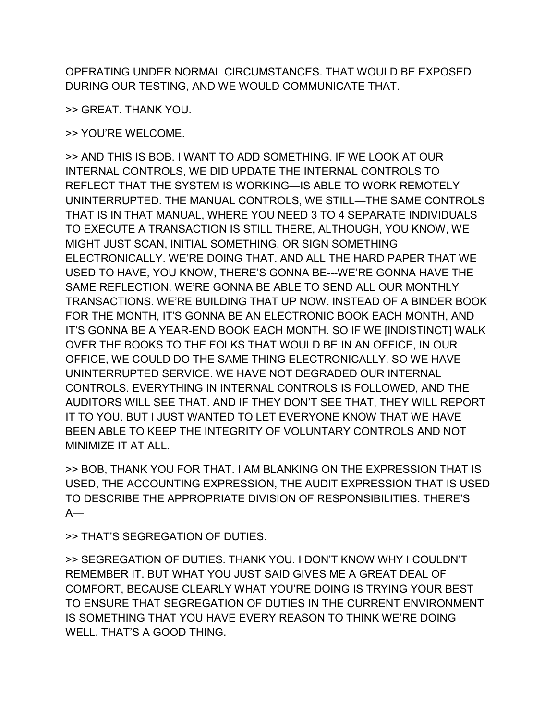OPERATING UNDER NORMAL CIRCUMSTANCES. THAT WOULD BE EXPOSED DURING OUR TESTING, AND WE WOULD COMMUNICATE THAT.

>> GREAT. THANK YOU.

>> YOU'RE WELCOME.

>> AND THIS IS BOB. I WANT TO ADD SOMETHING. IF WE LOOK AT OUR INTERNAL CONTROLS, WE DID UPDATE THE INTERNAL CONTROLS TO REFLECT THAT THE SYSTEM IS WORKING—IS ABLE TO WORK REMOTELY UNINTERRUPTED. THE MANUAL CONTROLS, WE STILL—THE SAME CONTROLS THAT IS IN THAT MANUAL, WHERE YOU NEED 3 TO 4 SEPARATE INDIVIDUALS TO EXECUTE A TRANSACTION IS STILL THERE, ALTHOUGH, YOU KNOW, WE MIGHT JUST SCAN, INITIAL SOMETHING, OR SIGN SOMETHING ELECTRONICALLY. WE'RE DOING THAT. AND ALL THE HARD PAPER THAT WE USED TO HAVE, YOU KNOW, THERE'S GONNA BE---WE'RE GONNA HAVE THE SAME REFLECTION. WE'RE GONNA BE ABLE TO SEND ALL OUR MONTHLY TRANSACTIONS. WE'RE BUILDING THAT UP NOW. INSTEAD OF A BINDER BOOK FOR THE MONTH, IT'S GONNA BE AN ELECTRONIC BOOK EACH MONTH, AND IT'S GONNA BE A YEAR-END BOOK EACH MONTH. SO IF WE [INDISTINCT] WALK OVER THE BOOKS TO THE FOLKS THAT WOULD BE IN AN OFFICE, IN OUR OFFICE, WE COULD DO THE SAME THING ELECTRONICALLY. SO WE HAVE UNINTERRUPTED SERVICE. WE HAVE NOT DEGRADED OUR INTERNAL CONTROLS. EVERYTHING IN INTERNAL CONTROLS IS FOLLOWED, AND THE AUDITORS WILL SEE THAT. AND IF THEY DON'T SEE THAT, THEY WILL REPORT IT TO YOU. BUT I JUST WANTED TO LET EVERYONE KNOW THAT WE HAVE BEEN ABLE TO KEEP THE INTEGRITY OF VOLUNTARY CONTROLS AND NOT MINIMIZE IT AT ALL.

>> BOB, THANK YOU FOR THAT. I AM BLANKING ON THE EXPRESSION THAT IS USED, THE ACCOUNTING EXPRESSION, THE AUDIT EXPRESSION THAT IS USED TO DESCRIBE THE APPROPRIATE DIVISION OF RESPONSIBILITIES. THERE'S  $A$ —

>> THAT'S SEGREGATION OF DUTIES.

>> SEGREGATION OF DUTIES. THANK YOU. I DON'T KNOW WHY I COULDN'T REMEMBER IT. BUT WHAT YOU JUST SAID GIVES ME A GREAT DEAL OF COMFORT, BECAUSE CLEARLY WHAT YOU'RE DOING IS TRYING YOUR BEST TO ENSURE THAT SEGREGATION OF DUTIES IN THE CURRENT ENVIRONMENT IS SOMETHING THAT YOU HAVE EVERY REASON TO THINK WE'RE DOING WELL. THAT'S A GOOD THING.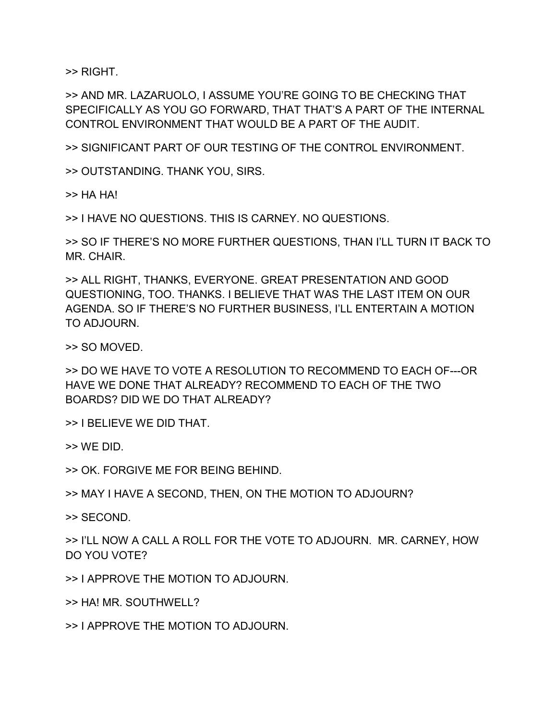>> RIGHT.

>> AND MR. LAZARUOLO, I ASSUME YOU'RE GOING TO BE CHECKING THAT SPECIFICALLY AS YOU GO FORWARD, THAT THAT'S A PART OF THE INTERNAL CONTROL ENVIRONMENT THAT WOULD BE A PART OF THE AUDIT.

>> SIGNIFICANT PART OF OUR TESTING OF THE CONTROL ENVIRONMENT.

>> OUTSTANDING. THANK YOU, SIRS.

>> HA HA!

>> I HAVE NO QUESTIONS. THIS IS CARNEY. NO QUESTIONS.

>> SO IF THERE'S NO MORE FURTHER QUESTIONS, THAN I'LL TURN IT BACK TO MR. CHAIR.

>> ALL RIGHT, THANKS, EVERYONE. GREAT PRESENTATION AND GOOD QUESTIONING, TOO. THANKS. I BELIEVE THAT WAS THE LAST ITEM ON OUR AGENDA. SO IF THERE'S NO FURTHER BUSINESS, I'LL ENTERTAIN A MOTION TO ADJOURN.

>> SO MOVED.

>> DO WE HAVE TO VOTE A RESOLUTION TO RECOMMEND TO EACH OF---OR HAVE WE DONE THAT ALREADY? RECOMMEND TO EACH OF THE TWO BOARDS? DID WE DO THAT ALREADY?

>> I BELIEVE WE DID THAT.

>> WE DID.

>> OK. FORGIVE ME FOR BEING BEHIND.

>> MAY I HAVE A SECOND, THEN, ON THE MOTION TO ADJOURN?

>> SECOND.

>> I'LL NOW A CALL A ROLL FOR THE VOTE TO ADJOURN. MR. CARNEY, HOW DO YOU VOTE?

>> I APPROVE THE MOTION TO ADJOURN.

>> HA! MR. SOUTHWELL?

>> I APPROVE THE MOTION TO ADJOURN.